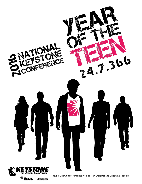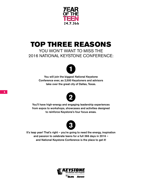

## TOP THREE REASONS

### YOU WON'T WANT TO MISS THE 2016 NATIONAL KEYSTONE CONFERENCE:



You will join the biggest National Keystone Conference ever, as 2,500 Keystoners and advisors take over the great city of Dallas, Texas.



You'll have high-energy and engaging leadership experiences from expos to workshops, showcases and activities designed to reinforce Keystone's four focus areas.



It's leap year! That's right – you're going to need the energy, inspiration and passion to celebrate teens for a full 366 days in 2016 – and National Keystone Conference is the place to get it!

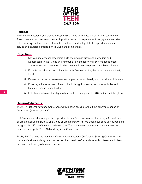

#### **Purpose**

The National Keystone Conference is Boys & Girls Clubs of America's premier teen conference. The conference provides Keystoners with positive leadership experiences to engage and socialize with peers, explore teen issues relevant to their lives and develop skills to support and enhance service and leadership efforts in their Clubs and communities.

#### **Objectives**

- 1. Develop and enhance leadership skills enabling participants to be leaders and ambassadors in their Clubs and communities in the following Keystone focus areas: academic success, career exploration, community service projects and teen outreach.
- 2. Promote the values of good character, unity, freedom, justice, democracy and opportunity for all.
- 3. Develop an increased awareness and appreciation for diversity and the value of tolerance.
- 4. Encourage the expression of teen voice in thought-provoking sessions, activities and hands-on learning opportunities.
- 5. Establish positive relationships with peers from throughout the U.S. and around the globe.

#### **Acknowledgments**

The 2016 National Keystone Conference would not be possible without the generous support of Aaron's, Inc. (www.aarons.com).

BGCA gratefully acknowledges the support of this year's co-host organizations, Boys & Girls Clubs of Greater Dallas and Boys & Girls Clubs of Greater Fort Worth. We extend our deep appreciation and recognize the efforts of the staff and volunteers. These dedicated professionals are a tremendous asset in planning the 2016 National Keystone Conference.

Finally, BGCA thanks the members of the National Keystone Conference Steering Committee and National Keystone Advisory group, as well as other Keystone Club advisors and conference volunteers for their assistance, guidance and support.

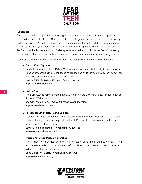

#### **Location**

Dallas is not only a major city but the largest urban center of the fourth most populated metropolitan area in the United States. The city is the largest economic center of the 12-county Dallas–Fort Worth–Arlington metropolitan area commonly referred to as DFW. Dallas combines moderate weather, year-round sports and true Southern hospitality. Known for its barbecue, Tex-Mex or authentic Mexican foods, Dallas appeals to a melting pot of cultures. Dallas' pioneering spirit is alive and well and contributions from its residents enrich the community and quality of life.

Discover some of what Texas has to offer. Here are just a few of the available attractions:

#### Dallas World Aquarium

Catch the adventure of The Dallas World Aquarium where exotic birds fly in the rain forest. Species of toucans can be seen lounging around and endangered animals, such as Orinoco crocodiles and giant river otters just hang out.

1801 N Griffin St, Dallas, TX 75202; (214) 720-2224 http://www.dwazoo.com

#### Dallas Zoo

The Dallas Zoo is home to more than 2,000 animals and thriving with new exhibits such as the Koala Walkabout.

650 S R L Thornton Fwy, Dallas, TX 75203; (469) 554-7500 http://www.dallaszoo.com

#### Perot Museum of Nature and Science

Test your curiosity and put your brain into overdrive at the Perot Museum of Nature and Science. Here you can race against a virtual T. Rex, touch a tornado or do battle in a remote-controlled robot arena.

2201 N. Field Street Dallas TX 75201; (214) 428-5555 http://www.perotmuseum.org

#### African American Museum of Dallas

The African American Museum is the only institution of its kind in the Southwest offering an impressive collection of African and African American art, featuring one of the largest folk art collections in the nation.

3536 Grand Ave, Dallas, TX 75210; (214) 565-9026 http://www.aamdallas.org

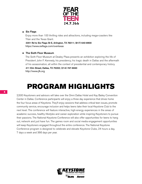

#### Six Flags

Enjoy more than 100 thrilling rides and attractions, including mega-coasters like Titan and the Texas Giant. 2201 Rd to Six Flags St E, Arlington, TX 76011; (817) 640-8900

https://www.sixflags.com/overtexas

#### The Sixth Floor Museum

The Sixth Floor Museum at Dealey Plaza presents an exhibition exploring the life of President John F. Kennedy, his presidency, his tragic death in Dallas and the aftermath of his assassination, all within the context of presidential and contemporary history.

411 Elm Street, Dallas, TX 75202; (214) 747-6660 http://www.jfk.org

## PROGRAM HIGHLIGHTS

2,500 Keystoners and advisors will take over the Omni Dallas Hotel and Kay Bailey Convention Center in Dallas. Conference participants will enjoy a three day experience that drives home the four focus areas of Keystone. They'll enjoy sessions that address critical teen issues, promote community service, encourage inclusion and helps teens take their local Keystone Club to the next level. The conference will feature interactive, high-energy experiences in the areas of academic success, healthy lifestyles and career exploration while inspiring Keystoners to pursue their passions. The National Keystone Conference will also offer opportunities for teens to hang out, network and just have fun. The games room and social media engagement opportunities will keep Keystoners engaged throughout the entire conference. The National Keystone Conference program is designed to celebrate and elevate Keystone Clubs, 24 hours a day, 7 days a week and 366 days per year.

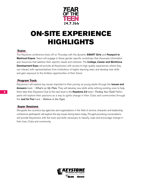

## ON-SITE EXPERIENCE HIGHLIGHTS

#### **Expos**

The Keystone conference kicks off on Thursday with the dynamic **SMART Girls** and Passport to **Manhood Expos.** Teens will engage in these gender specific workshops that showcase information and resources that address their specific needs and interests. The **College, Career and Workforce Development Expo** will provide all Keystoners with access to high quality experiences where they can interact with representatives from Institutions of higher learning, learn and develop new skills and gain exposure to the limitless opportunities of their future.

#### **Program Track**

Keystoners will explore key issues important to their journey as young adults through the Issues and Answers track – *What's on My Plate*. They will develop new skills while refining existing ones to help them take their Keystone Club to the next level in the Keystone 2.0 track– *Finding Your Gold*. Participants will explore their passions as a way to ignite change in their Clubs and communities through the Just for Fun track – *Believe in the Hype*.

#### **Super Sessions**

Alongside the country's top agencies and organizations in the field of service, character and leadership, conference participants will explore the key issues facing teens today. Thought provoking conversations will provide Keystoners with the tools and skills necessary to classify, cope and encourage change in their lives, Clubs and community.

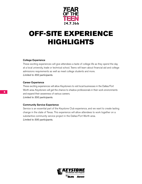

# OFF-SITE EXPERIENCE HIGHLIGHTS

#### College Experience

These exciting experiences will give attendees a taste of college life as they spend the day at a local university, trade or technical school. Teens will learn about financial aid and college admissions requirements as well as meet college students and more. *Limited to 350 participants.*

#### Career Experience

These exciting experiences will allow Keystoners to visit local businesses in the Dallas/Fort Worth area. Keystoners will get the chance to shadow professionals in their work environments and expand their awareness of various careers. *Limited to 350 participants.*

#### Community Service Experience

Service is an essential part of the Keystone Club experience, and we want to create lasting change in the state of Texas. This experience will allow attendees to work together on a substantive community service project in the Dallas/Fort Worth area. *Limited to 500 participants.*

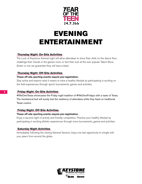

## EVENING ENTERTAINMENT

#### **Thursday Night: On-Site Activities**

The Luck of Keystone themed night will allow attendees to show their skills on the dance floor, challenge their friends in the games room, or test their luck at the ever popular Talent Show. Green or not, we guarantee they will have a blast.

#### **Thursday Night: Off-Site Activities**

#### These off-site sporting events require pre-registration.

Stay active and explore what it means to have a healthy lifestyle by participating in exciting on the field experiences through sports tournaments, games and activities.

#### **Friday Night: On-Site Activities**

#WeOwnTexas showcases the Friday night tradition of #WeOwnFridays with a taste of Texas. The mechanical bull will surely test the resiliency of attendees while they feast on traditional Texas cuisine.

#### **Friday Night: Off-Site Activities**

#### These off-site sporting events require pre-registration.

Enjoy a second night of activity and friendly competition. Practice your healthy lifestyle by participating in exciting athletic experiences through more tournaments, games and activities.

#### **Saturday Night Activities**

Immediately following the closing General Session, enjoy one last opportunity to mingle with your peers from around the globe.

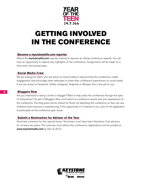

# GETTING INVOLVED IN THE CONFERENCE

#### **Become a myclubmylife.com reporter**

Attend the **myclubmylife.com** reporter training to become an official conference reporter. You will have an opportunity to capture key highlights of the conference. Assignments will be made on a first-come, first-served basis.

#### **Social Media Crew**

We are looking for teens who are active on social media to help promote the conference, create engagement, and encourage other attendees to share their conference experiences on social media. If you are active on Facebook, Twitter, Instagram, Snapchat or Whisper, this is the job for you.

#### **Bloggers Row**

Are you interested in being a writer or blogger? Want to help share the conference through the eyes of a Keystoner? As part of Bloggers Row, you'll report on conference events and your experiences at the conference. The blog posts will be shared for those not attending the conference so they can see firsthand what everyone is experiencing. If this opportunity is of interest to you, look for the application to participate as the conference gets closer.

#### **Submit a Nomination for Advisor of the Year**

Nominate someone for this special honor. Nominees must have been Keystone Club advisors for at least two years. The nominee must attend the conference. Applications will be posted on www.myclubmylife.com by Dec. 8, 2015.

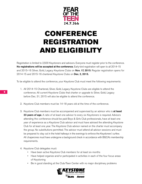

# CONFERENCE REGISTRATION AND ELIGIBILITY

Registration is limited to 2,500 Keystoners and advisors. Everyone must register prior to the conference. No registrations will be accepted at the conference. Early-bird registration will open to all 2014-15 and 2015-16 Silver, Gold, Legacy Keystone Clubs on **Nov. 17, 2015**. Regular registration opens for 2014-15 and 2015-16 chartered Keystone Clubs on Dec. 2, 2015.

To be eligible to attend the conference, your Keystone Club must meet the following requirements:

- 1. All 2014-15 Chartered, Silver, Gold, Legacy Keystone Clubs are eligible to attend the conference. All current Keystone Clubs that charter or upgrade to Silver, Gold, Legacy before Dec. 31, 2015 will also be eligible to attend the conference.
- 2. Keystone Club members must be 14-18 years old at the time of the conference.
- 3. Keystone Club members must be accompanied and supervised by an advisor who is at least 23 years of age. A ratio of at least one advisor to every six Keystoners is required. Advisors attending the conference should be paid Boys & Girls Club professionals, have at least one year of experience as a Keystone Club advisor and must have advised the attending Keystone Club for at least one year. The Keystone Club advisor named on the charter must accompany the group. No substitutions permitted. The advisor must attend all advisor sessions and must be prepared to stay out in the hotel hallways in the evenings to enforce the Keystoners' curfew. All chaperones must have undergone a background check in accordance with BGCA's membership requirements.
- 4. Keystone Club delegates must:
	- Have been active Keystone Club members for at least six months
	- Have helped organize and/or participated in activities in each of the four focus areas of Keystoning
	- Be in good standing at the Club/Teen Center with no major disciplinary problems

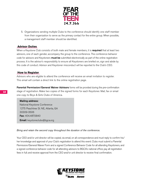

5. Organizations sending multiple Clubs to the conference should identify one staff member from their organization to serve as the primary contact for the entire group. When possible, a management staff member should be identified.

#### **Advisor Duties**

When a Keystone Club consists of both male and female members, it is **required** that at least two advisors, one of each gender, accompany the group to the conference. The conference behavior code for advisors and Keystoners **must be** submitted electronically as part of the online registration process. It is the advisor's responsibility to ensure all Keystoners are briefed on, sign and abide by this code of conduct. Advisor and Keystoner misconduct will be reported to the Club's CEO.

#### **How to Register**

Advisors who are eligible to attend the conference will receive an email invitation to register. This email will contain a direct link to the online registration page.

**Parental Permission/General Waiver Advisors** forms will be provided during the pre-confirmation stage of registration. Make two copies of the signed forms for each Keystoner. Mail, fax or email one copy to Boys & Girls Clubs of America.

Mailing address: National Keystone Conference 1275 Peachtree St. NE, Atlanta, GA 30309-3506 **Fax:** 404.487.5840 Email: keystoneclubs@bgca.org

*Bring and retain the second copy throughout the duration of the conference.*

Your CEO and/or unit director will be copied, via email, on all correspondence and must reply to confirm his/ her knowledge and approval of your Club's registration to attend this event. Clubs must submit a Parental Permission/General Waiver Form and a signed Conference Behavior Code for all attending Keystoners, and a signed conference behavior code for all attending advisors to BGCA's national office; pay all registration fees in full; and receive approval from the CEO and/or unit director to receive final confirmation.

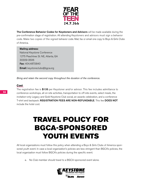

The Conference Behavior Codes for Keystoners and Advisors will be made available during the pre-confirmation stage of registration. All attending Keystoners and advisors must sign a behavior code. Make two copies of the signed behavior code. Mail, fax or email one copy to Boys & Girls Clubs of America.

#### Mailing address:

National Keystone Conference 1275 Peachtree St. NE, Atlanta, GA 30309-3506 Fax: 404.487.5840 **Email:** keystoneclubs@bgca.org

*Bring and retain the second copy throughout the duration of the conference.*

#### **Cost**

The registration fee is \$135 per Keystoner and/or advisor. This fee includes admittance to conference workshops, all on-site activities, transportation to off-site events, select meals, the invitation-only Legacy and Gold Keystone Club social, an awards celebration, and a conference T-shirt and backpack. REGISTRATION FEES ARE NON-REFUNDABLE. This fee DOES NOT include the hotel cost.

## TRAVEL POLICY FOR BGCA-SPONSORED YOUTH EVENTS

All local organizations must follow this policy when attending a Boys & Girls Clubs of America sponsored youth event. In case a local organization's policies are less stringent than BGCA's policies, the local organization must follow BGCA's policies during the specific event.

a. No Club member should travel to a BGCA-sponsored event alone.

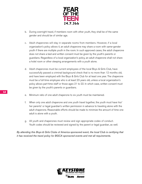

- b. During overnight travel, if members room with other youth, they shall be of the same gender and should be of similar age.
- c. Adult chaperones will stay in separate rooms from members. However, if a local organization's policy allows it, an adult chaperone may share a room with same-gender youth if there are multiple youth in the room. In such approved cases, the adult chaperone does not share a bed and written consent must be given by the youth's parents or guardians. Regardless of a local organization's policy, an adult chaperone shall not share a hotel room or other sleeping arrangements with a youth alone.
- d. Adult chaperones must be current employees of the local Boys & Girls Club, have successfully passed a criminal background check that is no more than 12 months old, and have been employed with the Boys & Girls Club for at least one year. The chaperone must be a full-time employee who is at least 23 years old, unless a local organization's policy allows part-time staff or those ages 21 to 22. In which case, written consent must be given by the youth's parents or guardians.
- e. Minimum ratio of one adult chaperone to six youth must be maintained.
- f. When only one adult chaperone and one youth travel together, the youth must have his/ her parents' or legal guardian's written permission in advance to traveling alone with the adult chaperone. Reasonable efforts should be made to minimize the amount of time one adult is alone with a youth.
- g. All youth and chaperones must review and sign appropriate codes of conduct. Youth codes should be reviewed and signed by the parent or legal guardian, as well.

*By attending this Boys & Girls Clubs of America sponsored event, the local Club is certifying that it has received the travel policy for BGCA sponsored events and met all requirements.* 

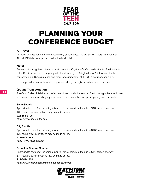

## PLANNING YOUR CONFERENCE BUDGET

#### **Air Travel**

Air travel arrangements are the responsibility of attendees. The Dallas/Fort Worth International Airport (DFW) is the airport closest to the host hotel.

#### **Hotel**

Everyone attending the conference must stay at the Keystone Conference host hotel. The host hotel is the Omni Dallas Hotel. The group rate for all room types (single/double/triple/quad) for the conference is \$165, plus taxes and fees, for a grand total of \$183.15 per room per night.

Hotel registration instructions will be provided after your registration has been confirmed.

#### **Ground Transportation**

The Omni Dallas Hotel does not offer complimentary shuttle service. The following options and rates are available at surrounding airports. Be sure to check online for special pricing and discounts.

#### **SuperShuttle**

Approximate costs (not including driver tip) for a shared shuttle ride is \$18/person one way; \$36 round-trip. Reservations may be made online.

#### 972-456-3128

http://www.supershuttle.com

#### City Shuttle

Approximate costs (not including driver tip) for a shared shuttle ride is \$16/person one way; \$32 round-trip. Reservations may be made online.

214-760-1998 http://www.cityshuttle.net

#### Go Yellow Checker Shuttle

Approximate costs (not including driver tip) for a shared shuttle ride is \$17/person one way; \$34 round-trip. Reservations may be made online.

#### 214-841-1900

http://www.yellowcheckershuttle.hudsonltd.net/res

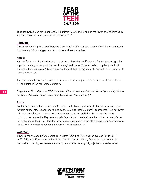

Taxis are available on the upper level of Terminals A, B, C and E, and on the lower level of Terminal D without a reservation for an approximate cost of \$45.

#### **Parking**

On-site self-parking for all vehicle types is available for \$20 per day. The hotel parking lot can accommodate cars, 15-passenger vans, mini-buses and motor coaches.

#### **Meals**

Your conference registration includes a continental breakfast on Friday and Saturday mornings, plus appetizers during evening activities on Thursday\* and Friday. Clubs should develop budgets that include all other meal costs. Advisors may want to distribute a daily meal allowance to their members for non-covered meals.

There are a number of eateries and restaurants within walking distance of the hotel. Local eateries will be printed in the conference program.

*\*Legacy and Gold Keystone Club members will also have appetizers on Thursday evening prior to the General Session at the Legacy and Gold Social (invitation only).*

#### **Attire**

Conference dress is business casual (collared shirts, blouses, khakis, slacks, skirts, dresses, comfortable shoes, etc.). Jeans, shorts and capris at an acceptable length; appropriate T-shirts; sweatshirts and sneakers are acceptable to wear during evening activities. Keystoners have the option to dress up for the Keystone Awards Celebration in celebration attire or they can wear Texas themed attire for the night. Attire for those who are registered for an off-site community service experience will be adjusted based on the nature of the service activity.

#### **Weather**

In Dallas, the average high temperature in March is 65°F to 72°F, and the average low is 46°F to 53°F degrees. Keystoners and advisors should dress accordingly. Due to cool temperatures in the hotel and the city, Keystoners are strongly encouraged to bring a light jacket or sweater to wear.

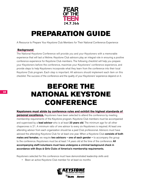

## PREPARATION GUIDE

A Resource to Prepare Your Keystone Club Members for Their National Conference Experience

#### **Background**

The National Keystone Conference will provide you and your Keystoners with a memorable experience that will last a lifetime. Keystone Club advisors play an integral role in ensuring a positive conference experience for Keystone Club members. The following checklist will help you prepare your Keystoners before the conference, maximize your Keystoners' conference experience, and provide steps to help Keystoners incorporate what they learn from the conference into their local Keystone Club program. Each step is important. All advisors should implement each item on this checklist. The success of the conference and the quality of your Keystoners' experience depend on it.

## BEFORE THE NATIONAL KEYSTONE CONFERENCE

**Keystoners must abide by conference rules and exhibit the highest standards of personal excellence.** Keystoners have been selected to attend the conference by meeting membership requirements of the Keystone program. Keystone Club members must be accompanied and supervised by a lead advisor who is at least 23 years old. The minimum age for all other chaperones is 21. A minimum ratio of one advisor to every six Keystoners is required. At least one attending advisor from each organization should be a paid Club professional. Advisors must have advised the attending Keystone Club for at least one year. When a Keystone Club consists of both **males and females,** we require **two advisors – one of each gender –** to accompany the group to the conference. Keystoners must be at least 14 years old at the time of the conference. All accompanying staff/volunteers must have undergone a criminal background check in accordance with Boys & Girls Clubs of America's membership requirements.

Keystoners selected for this conference must have demonstrated leadership skills and:

• Been an active Keystone Club member for at least six months

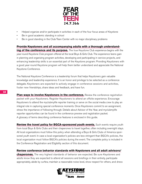

- Helped organize and/or participate in activities in each of the four focus areas of Keystone
- Be in good academic standing in school
- Be in good standing in the Club/Teen Center with no major disciplinary problems

**Provide Keystoners and all accompanying adults with a thorough understanding of the conference and its purpose.** The true Keystone Club experience begins with the year-round Keystone Club program offered at the local Boys & Girls Club. The experience teens gain in planning and organizing program activities, developing and participating in service projects, and enhancing leadership skills is an essential part of the Keystone program. Providing Keystoners with a good year-round Keystone program will help them better understand and appreciate the National Keystone Conference.

The National Keystone Conference is a leadership forum that helps Keystoners gain valuable knowledge and leadership experience. It is an honor and privilege to be selected as a conference delegate. Keystoners are expected to actively engage in conference sessions and activities, foster new friendships, share ideas and feedback, and have fun.

**Plan ways to involve Keystoners in the conference.** Review the conference registration packet with your Keystoners. Register Keystoners to attend an offsite experience. Encourage Keystoners to attend the myclubmylife reporter training or serve on the social media crew to play an integral role in capturing special conference moments. Once Keystoners commit to an assignment, stress the importance of following through. Details about Advisor of the Year, and myclubmylife reporter opportunities can be found in the conference preview and registration packet. A glossary of terms describing conference features is enclosed in this guide.

**Review the travel policy for BGCA-sponsored youth events.** Such events require youth from local Boys & Girls Clubs and their chaperones to travel together, often including overnight stays. All local organizations must follow this policy when attending a Boys & Girls Clubs of America sponsored youth event. In case a local organization's policies are less stringent than BGCA's policies, the local organization must follow BGCA's policies during the event. The complete policy is included in the Conference Registration and Eligibility section of this document.

**Review conference behavior standards with Keystoners and all adult advisors/ chaperones.** The very highest standards of behavior are expected. Be sure Keystoners and adults know they are expected to attend all sessions and briefings in their entirety, participate appropriately, abide by curfew, maintain a reasonable noise level, show respect for others, and dress

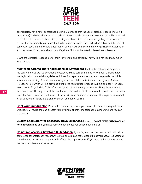

appropriately for a hotel conference setting. Emphasize that the use of alcohol, tobacco (including e-cigarettes) and other drugs are expressly prohibited. Coed visitation and violent or sexual behavior will not be tolerated. Misuse of balconies (climbing over balconies to other rooms, yelling on balconies, etc.) will result in the immediate dismissal of the Keystone delegate. The CEO will be called, and the cost of early travel back to the delegate's destination of origin will be incurred at the organization's expense. In all other cases of serious misbehavior, a Keystone Club may be asked to leave the conference.

CEOs are ultimately responsible for their Keystoners and advisors. They will be notified if any major issue arises.

**Meet with parents and/or guardians of Keystoners.** Explain the nature and purpose of the conference, as well as behavior expectations. Make sure all parents know about travel arrangements, hotel accommodations, dates and times for departure and return, and are provided with this information in writing. Ask all parents to sign the Parental Permission and Emergency Medical Release forms, which will be provided during the registration process. Submit one copy for each Keystoner to Boys & Girls Clubs of America, and retain one copy of this form. Bring these forms to the conference. The appendix of the Conference Preparation Guide contains the Conference Behavior Code for Keystoners, the Conference Behavior Code for Advisors, a sample letter to parents, a sample letter to school officials, and a sample parent orientation outline.

**Brief your unit director.** Prior to the conference, review your travel plans and itinerary with your unit director. Provide the unit director with a written itinerary and telephone numbers where you can be reached.

Budget adequately for necessary travel expenses. However, do not make flight plans or hotel reservations until you have received conference registration confirmation.

**Do not replace your Keystone Club advisor.** If your Keystone advisor is not able to attend the conference for unforeseen reasons, the group should plan not to attend the conference. A replacement should not be made, as this significantly affects the supervision of Keystoners at the conference and the overall conference experience.

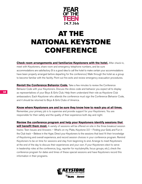

## AT THE NATIONAL KEYSTONE CONFERENCE

**Check room arrangements and familiarize Keystoners with the hotel.** After check-in, meet with Keystoners, share room and emergency telephone numbers, and be sure accommodations are satisfactory. (It is a good idea to call the hotel to make certain your accommodations have been properly arranged before departing for the conference.) Walk through the hotel as a group to become familiar with the facility. Point out fire exits and review emergency evacuation procedures.

**Revisit the Conference Behavior Code.** Take a few minutes to review the Conference Behavior Code with your Keystoners. Discuss the dress code and behavior you expect all to display as representatives of your Boys & Girls Club. Help them understand their role as Keystone Club ambassadors. Each Keystoner who attends the conference must sign the Conference Behavior Code, and it should be returned to Boys & Girls Clubs of America.

#### **Know where Keystoners are and be sure they know how to reach you at all times.**

Remember, your primary job is to supervise and provide support for your Keystoners. You are responsible for their safety and the quality of their experience both day and night.

**Review the conference program and help your Keystoners identify sessions that will benefit them most.** A variety of sessions will be offered on-site in the three breakout session tracks: Teen Issues and Answers – What's on my Plate, Keystone 2.0 – Finding your Gold, and Fun in the Club track – Believe in the Hype. Direct your Keystoners to the sessions that best fit their knowledge of Keystoning and overall experience, and record session choices in your conference program. Remind Keystoners to be on time for sessions and stay from beginning to end. Arrange to meet Keystoners at the end of the day to discuss their experiences and your own. If your Keystoners elect to serve in leadership roles at the conference, (e.g., reporter for myclubmylife, focus groups, etc.), check the conference program for dates and times of these special sessions and have Keystoners record this information in their programs.

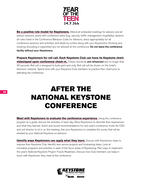

**Be a positive role model for Keystoners.** Attend all scheduled meetings for advisors and all advisor sessions, assist with conference tasks (e.g., security, traffic management, hospitality), observe all rules listed in the Conference Behavior Code for Advisors, dress appropriately for all conference sessions and activities, and abide by curfew along with your Keystoners. Drinking and smoking (including e-cigarettes) are not allowed at the conference. Do not leave the conference facility without your Keystoners.

**Prepare Keystoners for roll call. Each Keystone Club can have its Keystone chant videotaped upon conference check-in.** Cheers should be pre-rehearsed and no longer than 30 seconds. Roll call is designed to build spirit and unity. Roll call will be shown on the hotel's television network. Spend time with your Keystone Club members to practice their chant prior to attending the conference.

## AFTER THE NATIONAL KEYSTONE CONFERENCE

**Meet with Keystoners to evaluate the conference experience.** Using the conference program as a guide, discuss the activities of each day. Allow Keystoners to describe their experiences and what they learned. Solicit and record recommendations for next year's conference. Invite the CEO and unit director to sit in on this meeting. Ask your Keystoners to complete the survey that will be emailed by your National Keystone co-advisors.

**Identify ways Keystoners can apply what they learn.** Discuss with Keystoners steps to improve their Keystone Club. Identify new service projects and fundraising ideas. Look at innovative programs and activities in each of the focus areas of Keystoning. Plan ways to implement this year's National Keystone Project: Future Readiness. Discuss how Club members can keep in touch with Keystoners they meet at the conference.

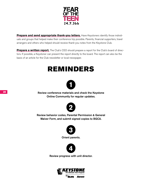

**Prepare and send appropriate thank-you letters.** Have Keystoners identify those individuals and groups that helped make their conference trip possible. Parents, financial supporters, travel arrangers and others who helped should receive thank-you notes from the Keystone Club.

**Prepare a written report.** The Club's CEO should prepare a report for the Club's board of directors. If possible, a Keystoner can present the report directly to the board. The report can also be the basis of an article for the Club newsletter or local newspaper.

## REMINDERS



Review conference materials and check the Keystone Online Community for regular updates.



Review behavior codes, Parental Permission & General Waiver Form, and submit signed copies to BGCA.



Orient parents.



Review progress with unit director.

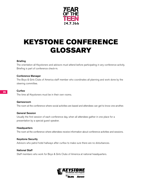

# KEYSTONE CONFERENCE GLOSSARY

#### **Briefing**

The orientation all Keystoners and advisors must attend before participating in any conference activity. Briefing is part of conference check-in.

#### Conference Manager

The Boys & Girls Clubs of America staff member who coordinates all planning and work done by the steering committee.

#### **Curfew**

The time all Keystoners must be in their own rooms.

#### Gamesroom

The room at the conference where social activities are based and attendees can get to know one another.

#### General Session

Usually the first session of each conference day, when all attendees gather in one place for a presentation by a special guest speaker.

#### **Headquarters**

The room at the conference where attendees receive information about conference activities and sessions.

#### Keystone Security

Advisors who patrol hotel hallways after curfew to make sure there are no disturbances.

#### National Staff

Staff members who work for Boys & Girls Clubs of America at national headquarters.

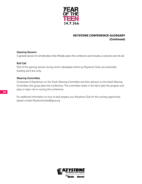

#### **KEYSTONE CONFERENCE GLOSSARY (Continued)**

#### Opening Session

A general session for all attendees that officially opens the conference and includes a welcome and roll call.

#### Roll Call

Part of the opening session during which videotaped chants by Keystone Clubs are presented, building spirit and unity.

#### Steering Committee

Composed of Keystoners on the Youth Steering Committee and their advisors on the Adult Steering Committee, this group plans the conference. The committee meets in the fall to plan the program and plays a major role in running the conference.

For additional information on how to best prepare your Keystone Club for this exciting opportunity, please contact Keystoneclubs@bgca.org

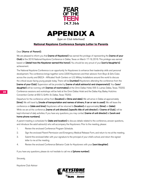

### APPENDIX A

*[type on Club letterhead]*

#### **National Keystone Conference Sample Letter to Parents**

Dear [Name of Parent]:

We are pleased to inform you that **[name of Keystoner]** has earned the privilege of representing the **[name of your** Club] at the 2016 National Keystone Conference in Dallas, Texas on March 17-19, 2016. This privilege was earned based on *[detail how the Keystoner earned this honor]*. You should be very proud of your *[son's/daughter's]* achievement.

The National Keystone Conference is an opportunity for Keystoners to enhance their leadership skills and personal development. The conference brings together some 2,500 Keystoners and their advisors from Boys & Girls Clubs across the country and BGCA - Afflicated Youth Centers on U.S. Military Installations around the world to discuss the critical issues facing young people today. There will be **[number]** Keystoners attending the conference from the [name of your Club]. Supervision will be provided by [name of adult advisor(s) and chaperone(s)]. Your [son/ daughter] will be rooming with [names of roommates] at the Omni Dallas Hotel, 555 S. Lamar, Dallas, Texas. 75202. Conference sessions and workshops will be held at the Omni Dallas Hotel and the Dallas Kay Bailey Hutchins Convention Center at 650 S. Griffin St. Dallas, Texas 75202.

Departure for the conference will be from **[location]** at **[time and date]**. We will arrive in Dallas at approximately **[time]**. We will travel by **[mode of transportation and names of drivers, if car or van is used]. We will leave the** conference on [date and time]. Keystoners will be returned to [location] at approximately [time] on [date]. While we are at the conference, [name of unit director], [specific title of unit director] of [name of Club], will be kept informed of daily activities. If you have any questions, you may contact **[name of unit director]** at **[work and** home phone numbers].

A parent meeting is scheduled for **[date and location]** to discuss details related to the conference, answer questions, and introduce the adult advisor(s) who will accompany the Keystoners. Prior to the meeting, please:

- 1. Review the enclosed Conference Program Schedule.
- 2. Sign the enclosed Parent Permission and Emergency Medical Release Form, and return to me at the meeting.
- 3. Submit the enclosed letter with your signature to the principal of your child's school, and return the signed letter to me at the meeting.
- 4. Review the enclosed Conference Behavior Code for Keystoners with your [son/daughter].

If you have any questions, please do not hesitate to call me at **[phone number]**.

Sincerely,

Keystone Club Advisor

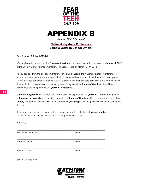

### APPENDIX B

*[type on Club letterhead]*

#### **National Keystone Conference Sample Letter to School Official**

Dear [Name of School Official]:

We are pleased to inform you that *[name of Keystoner]* has been selected to represent the *[name of Club]* at the 2016 National Keystone Conference in Dallas, Texas, on March 17-19, 2016.

As you can see from the enclosed Conference Program Schedule, the National Keystone Conference is an educational experience and an opportunity to enhance leadership skills and personal development. This conference brings together some 2,500 Keystoners and their advisors from Boys & Girls Clubs across the country to discuss relevant issues facing teens today. We at the [name of Club] feel this will be a tremendous growth opportunity for **[name of Keystoner]**.

[Name of Keystoner] has worked very hard to earn this opportunity. The [name of Club] and the parents of [name of Keystoner] are requesting permission for [name of Keystoner] to be excused from school on [dates] to attend this National Keystone Conference. [He/She] will make up any schoolwork missed during this time.

If you have any questions concerning this request, feel free to contact me at [phone number]. To indicate your consent, please sign in the appropriate space below.

Sincerely,

 $\mathcal{L}_\mathcal{L} = \{ \mathcal{L}_\mathcal{L} = \{ \mathcal{L}_\mathcal{L} = \{ \mathcal{L}_\mathcal{L} = \{ \mathcal{L}_\mathcal{L} = \{ \mathcal{L}_\mathcal{L} = \{ \mathcal{L}_\mathcal{L} = \{ \mathcal{L}_\mathcal{L} = \{ \mathcal{L}_\mathcal{L} = \{ \mathcal{L}_\mathcal{L} = \{ \mathcal{L}_\mathcal{L} = \{ \mathcal{L}_\mathcal{L} = \{ \mathcal{L}_\mathcal{L} = \{ \mathcal{L}_\mathcal{L} = \{ \mathcal{L}_\mathcal{$ Keystone Club Advisor **Date**  $\mathcal{L}_\mathcal{L} = \{ \mathcal{L}_\mathcal{L} = \{ \mathcal{L}_\mathcal{L} = \{ \mathcal{L}_\mathcal{L} = \{ \mathcal{L}_\mathcal{L} = \{ \mathcal{L}_\mathcal{L} = \{ \mathcal{L}_\mathcal{L} = \{ \mathcal{L}_\mathcal{L} = \{ \mathcal{L}_\mathcal{L} = \{ \mathcal{L}_\mathcal{L} = \{ \mathcal{L}_\mathcal{L} = \{ \mathcal{L}_\mathcal{L} = \{ \mathcal{L}_\mathcal{L} = \{ \mathcal{L}_\mathcal{L} = \{ \mathcal{L}_\mathcal{$ Parent/Guardian Date  $\mathcal{L}_\mathcal{L} = \{ \mathcal{L}_\mathcal{L} = \{ \mathcal{L}_\mathcal{L} = \{ \mathcal{L}_\mathcal{L} = \{ \mathcal{L}_\mathcal{L} = \{ \mathcal{L}_\mathcal{L} = \{ \mathcal{L}_\mathcal{L} = \{ \mathcal{L}_\mathcal{L} = \{ \mathcal{L}_\mathcal{L} = \{ \mathcal{L}_\mathcal{L} = \{ \mathcal{L}_\mathcal{L} = \{ \mathcal{L}_\mathcal{L} = \{ \mathcal{L}_\mathcal{L} = \{ \mathcal{L}_\mathcal{L} = \{ \mathcal{L}_\mathcal{$ School Official Date Date Date  $\mathcal{L}_\mathcal{L} = \{ \mathcal{L}_\mathcal{L} = \{ \mathcal{L}_\mathcal{L} = \{ \mathcal{L}_\mathcal{L} = \{ \mathcal{L}_\mathcal{L} = \{ \mathcal{L}_\mathcal{L} = \{ \mathcal{L}_\mathcal{L} = \{ \mathcal{L}_\mathcal{L} = \{ \mathcal{L}_\mathcal{L} = \{ \mathcal{L}_\mathcal{L} = \{ \mathcal{L}_\mathcal{L} = \{ \mathcal{L}_\mathcal{L} = \{ \mathcal{L}_\mathcal{L} = \{ \mathcal{L}_\mathcal{L} = \{ \mathcal{L}_\mathcal{$ School Official's Title

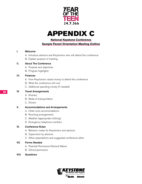

### APPENDIX C

**National Keystone Conference** 

**Sample Parent Orientation Meeting Outline**

#### I. Welcome

- A. Introduce advisors and Keystoners who will attend the conference
- B. Explain purpose of meeting

#### II. About The Conference

- A. Purpose and objectives
- B. Program highlights

#### III. Finances

- A. How Keystoners raised money to attend the conference
- B. What the conference will cost
- C. Additional spending money (if needed)

#### IV. Travel Arrangements

- A. Itinerary
- B. Mode of transportation
- C. Drivers

#### V. Accommodations and Arrangements

- A. Hotel room accommodations
- B. Rooming arrangements
- C. Weather (appropriate clothing)
- D. Emergency telephone numbers

#### VI. Conference Rules

- A. Behavior codes for Keystoners and advisors
- B. Supervision by advisors
- C. Other expectations and suggested conference attire

#### VII. Forms Needed

- A. Parental Permission/General Waiver
- B. School permission

#### VIII. Questions